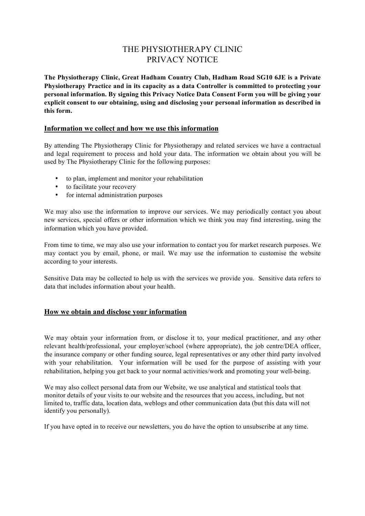# THE PHYSIOTHERAPY CLINIC PRIVACY NOTICE

**The Physiotherapy Clinic, Great Hadham Country Club, Hadham Road SG10 6JE is a Private Physiotherapy Practice and in its capacity as a data Controller is committed to protecting your personal information. By signing this Privacy Notice Data Consent Form you will be giving your explicit consent to our obtaining, using and disclosing your personal information as described in this form.**

#### **Information we collect and how we use this information**

By attending The Physiotherapy Clinic for Physiotherapy and related services we have a contractual and legal requirement to process and hold your data. The information we obtain about you will be used by The Physiotherapy Clinic for the following purposes:

- to plan, implement and monitor your rehabilitation
- to facilitate your recovery
- for internal administration purposes

We may also use the information to improve our services. We may periodically contact you about new services, special offers or other information which we think you may find interesting, using the information which you have provided.

From time to time, we may also use your information to contact you for market research purposes. We may contact you by email, phone, or mail. We may use the information to customise the website according to your interests.

Sensitive Data may be collected to help us with the services we provide you. Sensitive data refers to data that includes information about your health.

### **How we obtain and disclose your information**

We may obtain your information from, or disclose it to, your medical practitioner, and any other relevant health/professional, your employer/school (where appropriate), the job centre/DEA officer, the insurance company or other funding source, legal representatives or any other third party involved with your rehabilitation. Your information will be used for the purpose of assisting with your rehabilitation, helping you get back to your normal activities/work and promoting your well-being.

We may also collect personal data from our Website, we use analytical and statistical tools that monitor details of your visits to our website and the resources that you access, including, but not limited to, traffic data, location data, weblogs and other communication data (but this data will not identify you personally).

If you have opted in to receive our newsletters, you do have the option to unsubscribe at any time.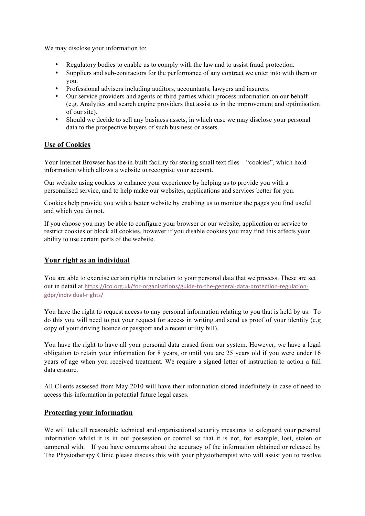We may disclose your information to:

- Regulatory bodies to enable us to comply with the law and to assist fraud protection.
- Suppliers and sub-contractors for the performance of any contract we enter into with them or you.
- Professional advisers including auditors, accountants, lawyers and insurers.
- Our service providers and agents or third parties which process information on our behalf (e.g. Analytics and search engine providers that assist us in the improvement and optimisation of our site).
- Should we decide to sell any business assets, in which case we may disclose your personal data to the prospective buyers of such business or assets.

## **Use of Cookies**

Your Internet Browser has the in-built facility for storing small text files – "cookies", which hold information which allows a website to recognise your account.

Our website using cookies to enhance your experience by helping us to provide you with a personalised service, and to help make our websites, applications and services better for you.

Cookies help provide you with a better website by enabling us to monitor the pages you find useful and which you do not.

If you choose you may be able to configure your browser or our website, application or service to restrict cookies or block all cookies, however if you disable cookies you may find this affects your ability to use certain parts of the website.

## **Your right as an individual**

You are able to exercise certain rights in relation to your personal data that we process. These are set out in detail at https://ico.org.uk/for-organisations/guide-to-the-general-data-protection-regulationgdpr/individual-rights/

You have the right to request access to any personal information relating to you that is held by us. To do this you will need to put your request for access in writing and send us proof of your identity (e.g copy of your driving licence or passport and a recent utility bill).

You have the right to have all your personal data erased from our system. However, we have a legal obligation to retain your information for 8 years, or until you are 25 years old if you were under 16 years of age when you received treatment. We require a signed letter of instruction to action a full data erasure.

All Clients assessed from May 2010 will have their information stored indefinitely in case of need to access this information in potential future legal cases.

### **Protecting your information**

We will take all reasonable technical and organisational security measures to safeguard your personal information whilst it is in our possession or control so that it is not, for example, lost, stolen or tampered with. If you have concerns about the accuracy of the information obtained or released by The Physiotherapy Clinic please discuss this with your physiotherapist who will assist you to resolve